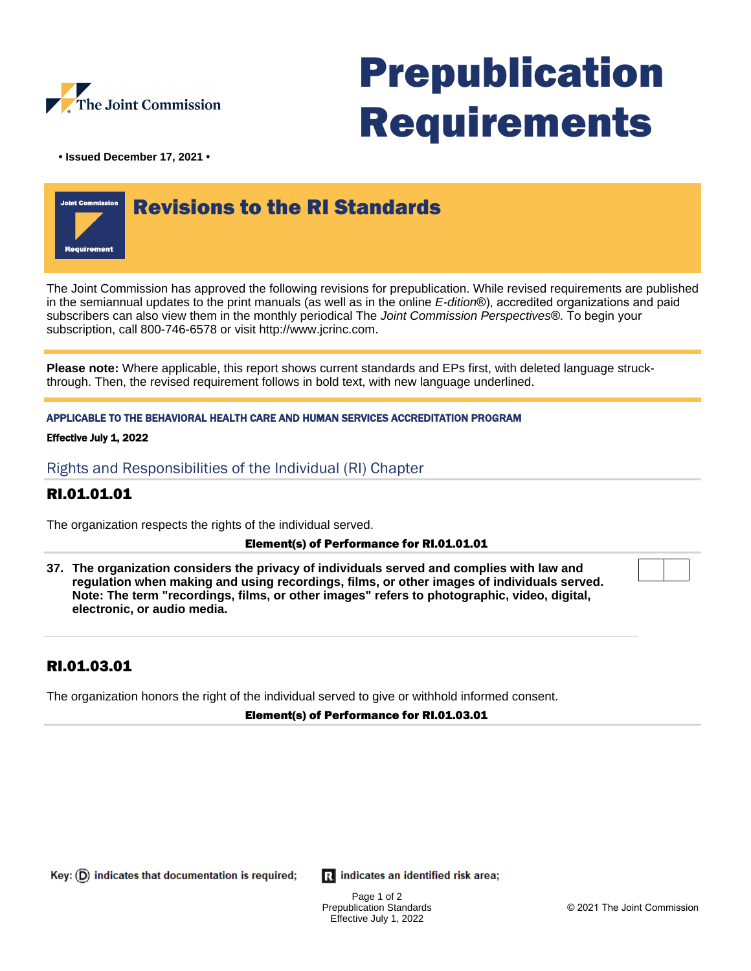

# Prepublication Requirements

**• Issued December 17, 2021 •**



The Joint Commission has approved the following revisions for prepublication. While revised requirements are published in the semiannual updates to the print manuals (as well as in the online E-dition®), accredited organizations and paid subscribers can also view them in the monthly periodical The Joint Commission Perspectives®. To begin your subscription, call 800-746-6578 or visit http://www.jcrinc.com.

**Please note:** Where applicable, this report shows current standards and EPs first, with deleted language struckthrough. Then, the revised requirement follows in bold text, with new language underlined.

APPLICABLE TO THE BEHAVIORAL HEALTH CARE AND HUMAN SERVICES ACCREDITATION PROGRAM

### Effective July 1, 2022

Rights and Responsibilities of the Individual (RI) Chapter

# RI.01.01.01

The organization respects the rights of the individual served.

### Element(s) of Performance for RI.01.01.01

**37. The organization considers the privacy of individuals served and complies with law and regulation when making and using recordings, films, or other images of individuals served. Note: The term "recordings, films, or other images" refers to photographic, video, digital, electronic, or audio media.**

# RI.01.03.01

The organization honors the right of the individual served to give or withhold informed consent.

### Element(s) of Performance for RI.01.03.01

Key:  $(D)$  indicates that documentation is required;

**R** indicates an identified risk area;

Page 1 of 2 Prepublication Standards Effective July 1, 2022